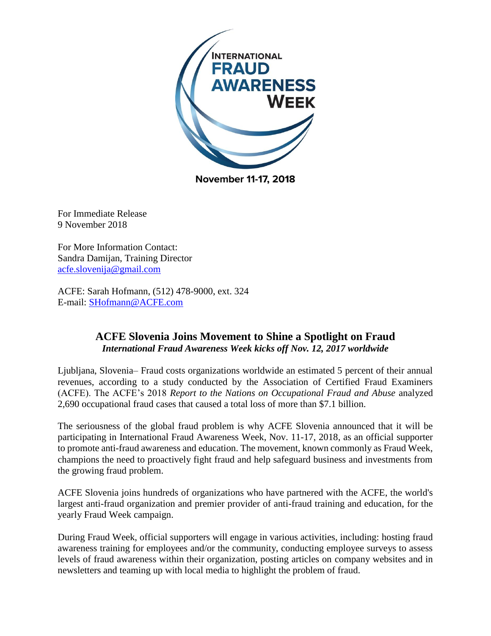

**November 11-17, 2018** 

For Immediate Release 9 November 2018

For More Information Contact: Sandra Damijan, Training Director [acfe.slovenija@gmail.com](mailto:acfe.slovenija@gmail.com)

ACFE: Sarah Hofmann, (512) 478-9000, ext. 324 E-mail: [SHofmann@ACFE.com](mailto:SHofmann@ACFE.com)

## **ACFE Slovenia Joins Movement to Shine a Spotlight on Fraud** *International Fraud Awareness Week kicks off Nov. 12, 2017 worldwide*

Ljubljana, Slovenia– Fraud costs organizations worldwide an estimated 5 percent of their annual revenues, according to a study conducted by the Association of Certified Fraud Examiners (ACFE). The ACFE's 2018 *Report to the Nations on Occupational Fraud and Abuse* analyzed 2,690 occupational fraud cases that caused a total loss of more than \$7.1 billion.

The seriousness of the global fraud problem is why ACFE Slovenia announced that it will be participating in International Fraud Awareness Week, Nov. 11-17, 2018, as an official supporter to promote anti-fraud awareness and education. The movement, known commonly as Fraud Week, champions the need to proactively fight fraud and help safeguard business and investments from the growing fraud problem.

ACFE Slovenia joins hundreds of organizations who have partnered with the ACFE, the world's largest anti-fraud organization and premier provider of anti-fraud training and education, for the yearly Fraud Week campaign.

During Fraud Week, official supporters will engage in various activities, including: hosting fraud awareness training for employees and/or the community, conducting employee surveys to assess levels of fraud awareness within their organization, posting articles on company websites and in newsletters and teaming up with local media to highlight the problem of fraud.